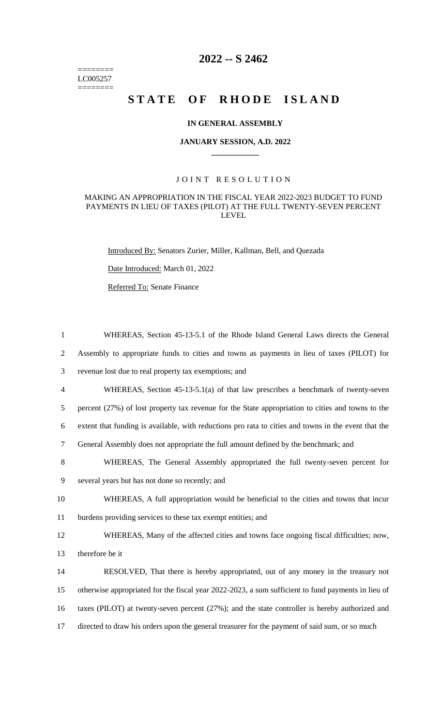======== LC005257  $=$ 

## **2022 -- S 2462**

# STATE OF RHODE ISLAND

## **IN GENERAL ASSEMBLY**

#### **JANUARY SESSION, A.D. 2022 \_\_\_\_\_\_\_\_\_\_\_\_**

## JOINT RESOLUTION

#### MAKING AN APPROPRIATION IN THE FISCAL YEAR 2022-2023 BUDGET TO FUND PAYMENTS IN LIEU OF TAXES (PILOT) AT THE FULL TWENTY-SEVEN PERCENT LEVEL

Introduced By: Senators Zurier, Miller, Kallman, Bell, and Quezada

Date Introduced: March 01, 2022

Referred To: Senate Finance

| $\mathbf{1}$   | WHEREAS, Section 45-13-5.1 of the Rhode Island General Laws directs the General                      |
|----------------|------------------------------------------------------------------------------------------------------|
| $\overline{2}$ | Assembly to appropriate funds to cities and towns as payments in lieu of taxes (PILOT) for           |
| 3              | revenue lost due to real property tax exemptions; and                                                |
| $\overline{4}$ | WHEREAS, Section $45-13-5.1(a)$ of that law prescribes a benchmark of twenty-seven                   |
| 5              | percent (27%) of lost property tax revenue for the State appropriation to cities and towns to the    |
| 6              | extent that funding is available, with reductions pro rata to cities and towns in the event that the |
| $\tau$         | General Assembly does not appropriate the full amount defined by the benchmark; and                  |
| 8              | WHEREAS, The General Assembly appropriated the full twenty-seven percent for                         |
| 9              | several years but has not done so recently; and                                                      |
| 10             | WHEREAS, A full appropriation would be beneficial to the cities and towns that incur                 |
| 11             | burdens providing services to these tax exempt entities; and                                         |
| 12             | WHEREAS, Many of the affected cities and towns face ongoing fiscal difficulties; now,                |
| 13             | therefore be it                                                                                      |
| 14             | RESOLVED, That there is hereby appropriated, out of any money in the treasury not                    |
| 15             | otherwise appropriated for the fiscal year 2022-2023, a sum sufficient to fund payments in lieu of   |
| 16             | taxes (PILOT) at twenty-seven percent (27%); and the state controller is hereby authorized and       |
| 17             | directed to draw his orders upon the general treasurer for the payment of said sum, or so much       |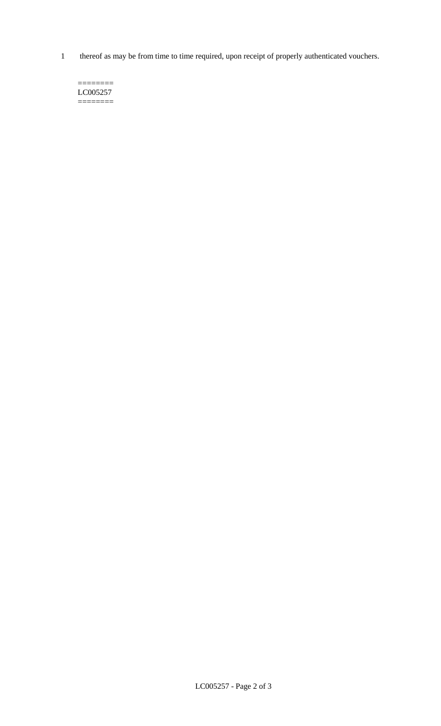1 thereof as may be from time to time required, upon receipt of properly authenticated vouchers.